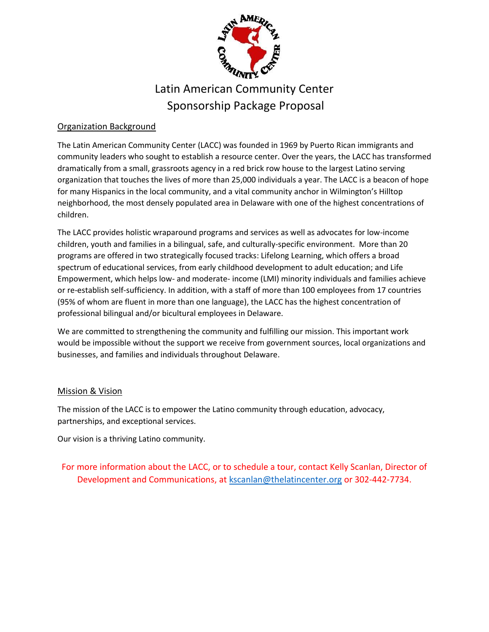

# Latin American Community Center Sponsorship Package Proposal

### Organization Background

The Latin American Community Center (LACC) was founded in 1969 by Puerto Rican immigrants and community leaders who sought to establish a resource center. Over the years, the LACC has transformed dramatically from a small, grassroots agency in a red brick row house to the largest Latino serving organization that touches the lives of more than 25,000 individuals a year. The LACC is a beacon of hope for many Hispanics in the local community, and a vital community anchor in Wilmington's Hilltop neighborhood, the most densely populated area in Delaware with one of the highest concentrations of children.

The LACC provides holistic wraparound programs and services as well as advocates for low-income children, youth and families in a bilingual, safe, and culturally-specific environment. More than 20 programs are offered in two strategically focused tracks: Lifelong Learning, which offers a broad spectrum of educational services, from early childhood development to adult education; and Life Empowerment, which helps low- and moderate- income (LMI) minority individuals and families achieve or re-establish self-sufficiency. In addition, with a staff of more than 100 employees from 17 countries (95% of whom are fluent in more than one language), the LACC has the highest concentration of professional bilingual and/or bicultural employees in Delaware.

We are committed to strengthening the community and fulfilling our mission. This important work would be impossible without the support we receive from government sources, local organizations and businesses, and families and individuals throughout Delaware.

### Mission & Vision

The mission of the LACC is to empower the Latino community through education, advocacy, partnerships, and exceptional services.

Our vision is a thriving Latino community.

### For more information about the LACC, or to schedule a tour, contact Kelly Scanlan, Director of Development and Communications, at [kscanlan@thelatincenter.org](mailto:kscanlan@thelatincenter.org) or 302-442-7734.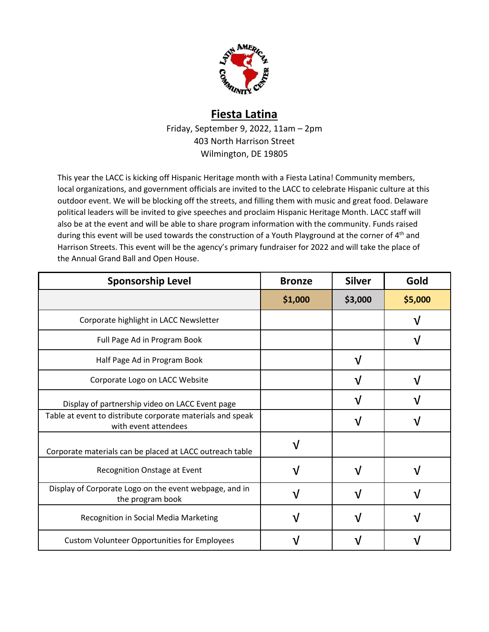

## **Fiesta Latina**

Friday, September 9, 2022, 11am – 2pm 403 North Harrison Street Wilmington, DE 19805

This year the LACC is kicking off Hispanic Heritage month with a Fiesta Latina! Community members, local organizations, and government officials are invited to the LACC to celebrate Hispanic culture at this outdoor event. We will be blocking off the streets, and filling them with music and great food. Delaware political leaders will be invited to give speeches and proclaim Hispanic Heritage Month. LACC staff will also be at the event and will be able to share program information with the community. Funds raised during this event will be used towards the construction of a Youth Playground at the corner of 4<sup>th</sup> and Harrison Streets. This event will be the agency's primary fundraiser for 2022 and will take the place of the Annual Grand Ball and Open House.

| <b>Sponsorship Level</b>                                                           | <b>Bronze</b> | <b>Silver</b> | Gold    |
|------------------------------------------------------------------------------------|---------------|---------------|---------|
|                                                                                    | \$1,000       | \$3,000       | \$5,000 |
| Corporate highlight in LACC Newsletter                                             |               |               |         |
| Full Page Ad in Program Book                                                       |               |               | ٦J      |
| Half Page Ad in Program Book                                                       |               | V             |         |
| Corporate Logo on LACC Website                                                     |               |               |         |
| Display of partnership video on LACC Event page                                    |               |               |         |
| Table at event to distribute corporate materials and speak<br>with event attendees |               | V             |         |
| Corporate materials can be placed at LACC outreach table                           | N             |               |         |
| Recognition Onstage at Event                                                       |               | V             |         |
| Display of Corporate Logo on the event webpage, and in<br>the program book         |               | Ν             |         |
| Recognition in Social Media Marketing                                              | M             |               |         |
| <b>Custom Volunteer Opportunities for Employees</b>                                |               |               |         |